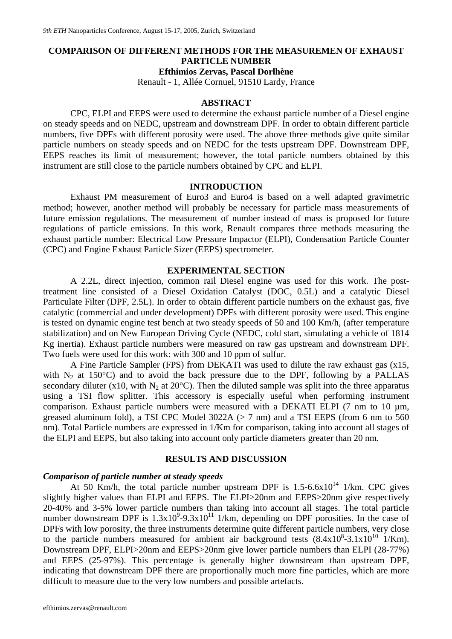### **COMPARISON OF DIFFERENT METHODS FOR THE MEASUREMEN OF EXHAUST PARTICLE NUMBER**

**Efthimios Zervas, Pascal Dorlhène** 

Renault - 1, Allée Cornuel, 91510 Lardy, France

#### **ABSTRACT**

CPC, ELPI and EEPS were used to determine the exhaust particle number of a Diesel engine on steady speeds and on NEDC, upstream and downstream DPF. In order to obtain different particle numbers, five DPFs with different porosity were used. The above three methods give quite similar particle numbers on steady speeds and on NEDC for the tests upstream DPF. Downstream DPF, EEPS reaches its limit of measurement; however, the total particle numbers obtained by this instrument are still close to the particle numbers obtained by CPC and ELPI.

#### **INTRODUCTION**

Exhaust PM measurement of Euro3 and Euro4 is based on a well adapted gravimetric method; however, another method will probably be necessary for particle mass measurements of future emission regulations. The measurement of number instead of mass is proposed for future regulations of particle emissions. In this work, Renault compares three methods measuring the exhaust particle number: Electrical Low Pressure Impactor (ELPI), Condensation Particle Counter (CPC) and Engine Exhaust Particle Sizer (EEPS) spectrometer.

#### **EXPERIMENTAL SECTION**

A 2.2L, direct injection, common rail Diesel engine was used for this work. The posttreatment line consisted of a Diesel Oxidation Catalyst (DOC, 0.5L) and a catalytic Diesel Particulate Filter (DPF, 2.5L). In order to obtain different particle numbers on the exhaust gas, five catalytic (commercial and under development) DPFs with different porosity were used. This engine is tested on dynamic engine test bench at two steady speeds of 50 and 100 Km/h, (after temperature stabilization) and on New European Driving Cycle (NEDC, cold start, simulating a vehicle of 1814 Kg inertia). Exhaust particle numbers were measured on raw gas upstream and downstream DPF. Two fuels were used for this work: with 300 and 10 ppm of sulfur.

A Fine Particle Sampler (FPS) from DEKATI was used to dilute the raw exhaust gas (x15, with  $N_2$  at 150°C) and to avoid the back pressure due to the DPF, following by a PALLAS secondary diluter (x10, with  $N_2$  at 20 $^{\circ}$ C). Then the diluted sample was split into the three apparatus using a TSI flow splitter. This accessory is especially useful when performing instrument comparison. Exhaust particle numbers were measured with a DEKATI ELPI (7 nm to 10 µm, greased aluminum fold), a TSI CPC Model 3022A (> 7 nm) and a TSI EEPS (from 6 nm to 560 nm). Total Particle numbers are expressed in 1/Km for comparison, taking into account all stages of the ELPI and EEPS, but also taking into account only particle diameters greater than 20 nm.

#### **RESULTS AND DISCUSSION**

#### *Comparison of particle number at steady speeds*

At 50 Km/h, the total particle number upstream DPF is  $1.5-6.6\times10^{14}$  1/km. CPC gives slightly higher values than ELPI and EEPS. The ELPI>20nm and EEPS>20nm give respectively 20-40% and 3-5% lower particle numbers than taking into account all stages. The total particle number downstream DPF is  $1.3x10^9 - 9.3x10^{11}$  1/km, depending on DPF porosities. In the case of DPFs with low porosity, the three instruments determine quite different particle numbers, very close to the particle numbers measured for ambient air background tests  $(8.4 \times 10^8 - 3.1 \times 10^{10} )$  1/Km). Downstream DPF, ELPI>20nm and EEPS>20nm give lower particle numbers than ELPI (28-77%) and EEPS (25-97%). This percentage is generally higher downstream than upstream DPF, indicating that downstream DPF there are proportionally much more fine particles, which are more difficult to measure due to the very low numbers and possible artefacts.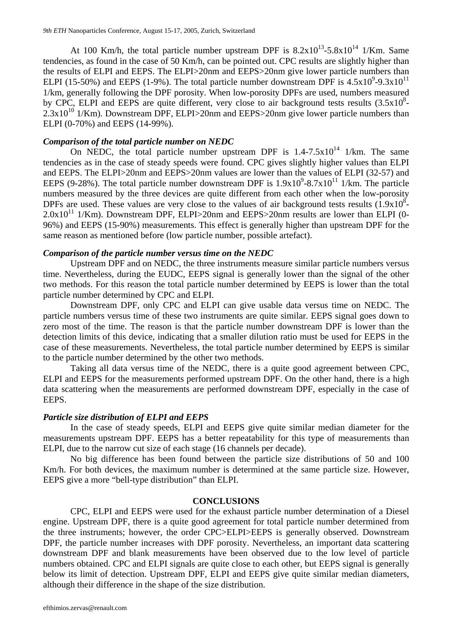At 100 Km/h, the total particle number upstream DPF is  $8.2x10^{13}$ -5.8x10<sup>14</sup> 1/Km. Same tendencies, as found in the case of 50 Km/h, can be pointed out. CPC results are slightly higher than the results of ELPI and EEPS. The ELPI>20nm and EEPS>20nm give lower particle numbers than ELPI (15-50%) and EEPS (1-9%). The total particle number downstream DPF is  $4.5x10^{9}$ -9.3x10<sup>11</sup> 1/km, generally following the DPF porosity. When low-porosity DPFs are used, numbers measured by CPC, ELPI and EEPS are quite different, very close to air background tests results  $(3.5x10<sup>8</sup> 2.3x10^{10}$   $1/Km$ ). Downstream DPF, ELPI $>20nm$  and EEPS $>20nm$  give lower particle numbers than ELPI (0-70%) and EEPS (14-99%).

#### *Comparison of the total particle number on NEDC*

On NEDC, the total particle number upstream DPF is  $1.4$ -7.5x10<sup>14</sup> 1/km. The same tendencies as in the case of steady speeds were found. CPC gives slightly higher values than ELPI and EEPS. The ELPI>20nm and EEPS>20nm values are lower than the values of ELPI (32-57) and EEPS (9-28%). The total particle number downstream DPF is  $1.9x10^9$ -8.7x10<sup>11</sup> 1/km. The particle numbers measured by the three devices are quite different from each other when the low-porosity DPFs are used. These values are very close to the values of air background tests results  $(1.9x10<sup>8</sup>$ - $2.0x10^{11}$  1/Km). Downstream DPF, ELPI $>$ 20nm and EEPS $>$ 20nm results are lower than ELPI (0-96%) and EEPS (15-90%) measurements. This effect is generally higher than upstream DPF for the same reason as mentioned before (low particle number, possible artefact).

#### *Comparison of the particle number versus time on the NEDC*

Upstream DPF and on NEDC, the three instruments measure similar particle numbers versus time. Nevertheless, during the EUDC, EEPS signal is generally lower than the signal of the other two methods. For this reason the total particle number determined by EEPS is lower than the total particle number determined by CPC and ELPI.

Downstream DPF, only CPC and ELPI can give usable data versus time on NEDC. The particle numbers versus time of these two instruments are quite similar. EEPS signal goes down to zero most of the time. The reason is that the particle number downstream DPF is lower than the detection limits of this device, indicating that a smaller dilution ratio must be used for EEPS in the case of these measurements. Nevertheless, the total particle number determined by EEPS is similar to the particle number determined by the other two methods.

Taking all data versus time of the NEDC, there is a quite good agreement between CPC, ELPI and EEPS for the measurements performed upstream DPF. On the other hand, there is a high data scattering when the measurements are performed downstream DPF, especially in the case of EEPS.

#### *Particle size distribution of ELPI and EEPS*

In the case of steady speeds, ELPI and EEPS give quite similar median diameter for the measurements upstream DPF. EEPS has a better repeatability for this type of measurements than ELPI, due to the narrow cut size of each stage (16 channels per decade).

No big difference has been found between the particle size distributions of 50 and 100 Km/h. For both devices, the maximum number is determined at the same particle size. However, EEPS give a more "bell-type distribution" than ELPI.

#### **CONCLUSIONS**

CPC, ELPI and EEPS were used for the exhaust particle number determination of a Diesel engine. Upstream DPF, there is a quite good agreement for total particle number determined from the three instruments; however, the order CPC>ELPI>EEPS is generally observed. Downstream DPF, the particle number increases with DPF porosity. Nevertheless, an important data scattering downstream DPF and blank measurements have been observed due to the low level of particle numbers obtained. CPC and ELPI signals are quite close to each other, but EEPS signal is generally below its limit of detection. Upstream DPF, ELPI and EEPS give quite similar median diameters, although their difference in the shape of the size distribution.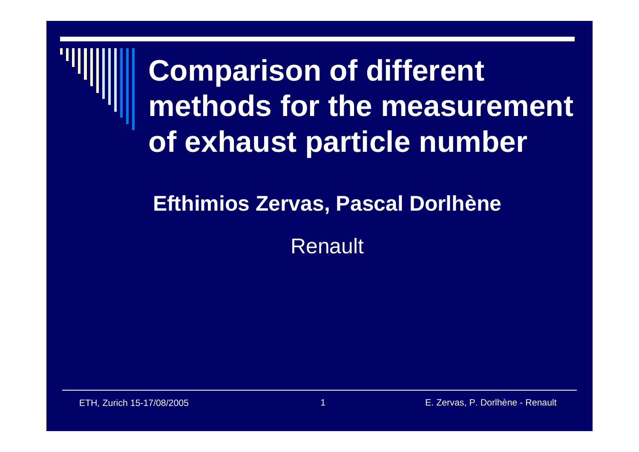## **Comparison of different methods for the measurement of exhaust particle number**

### **Efthimios Zervas, Pascal Dorlhène**

Renault

ETH, Zurich 15-17/08/2005 1 E. Zervas, P. Dorlhène - Renault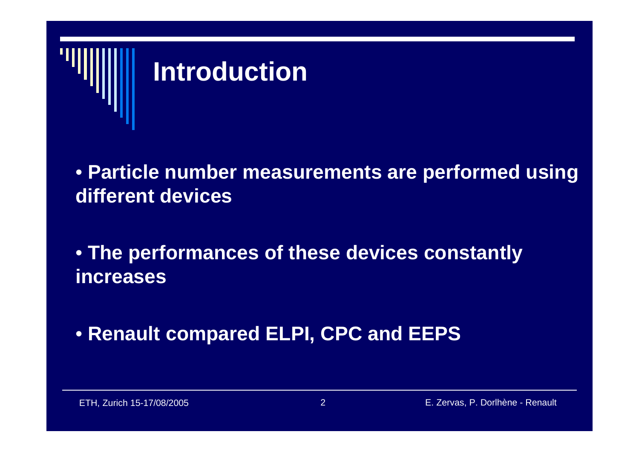

• **Particle number measurements are performed using different devices**

• **The performances of these devices constantly increases** 

• **Renault compared ELPI, CPC and EEPS**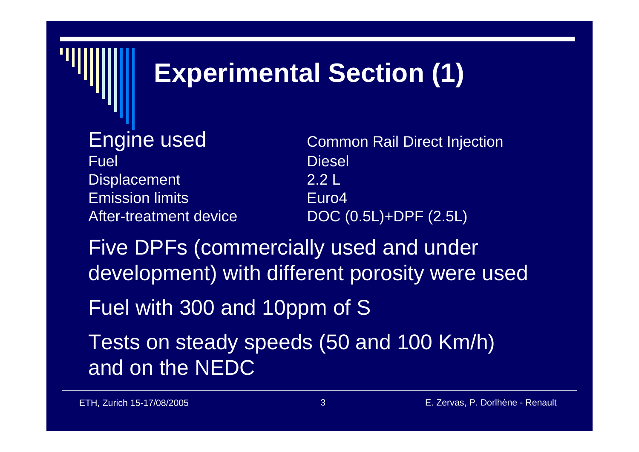## **Experimental Section (1)**

Fuel Diesel Displacement 2.2 L Emission limitsAfter-treatment device

Engine used **Engine Used** Common Rail Direct Injection Euro4DOC (0.5L)+DPF (2.5L)

Five DPFs (commercially used and under development) with different porosity were used

Fuel with 300 and 10ppm of S

Tests on steady speeds (50 and 100 Km/h) and on the NEDC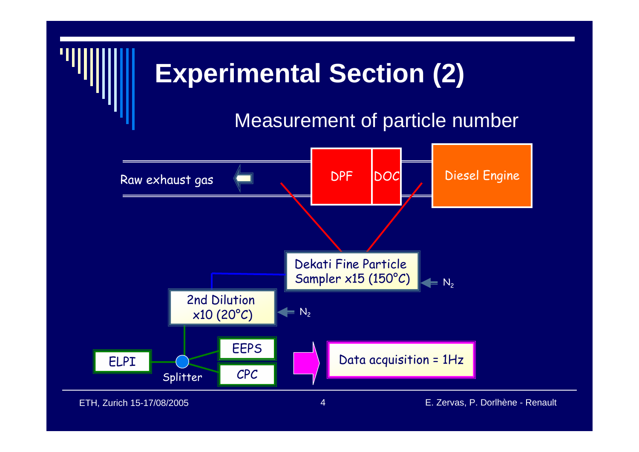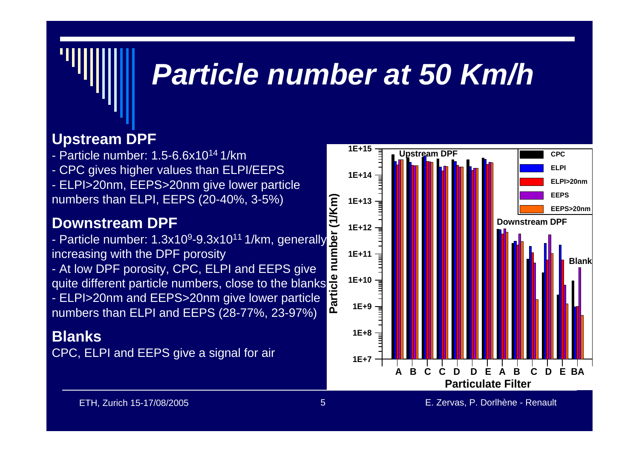## *Particle number at 50 Km/h*

### **Upstream DPF**

- Particle number: 1.5-6.6x1014 1/km
- CPC gives higher values than ELPI/EEPS
- ELPI>20nm, EEPS>20nm give lower particle numbers than ELPI, EEPS (20-40%, 3-5%)

### **Downstream DPF**

- Particle number: 1.3x10<sup>9</sup>-9.3x10<sup>11</sup> 1/km, generally increasing with the DPF porosity

- At low DPF porosity, CPC, ELPI and EEPS give quite different particle numbers, close to the blanks

- ELPI>20nm and EEPS>20nm give lower particle numbers than ELPI and EEPS (28-77%, 23-97%)

### **Blanks**

CPC, ELPI and EEPS give a signal for air

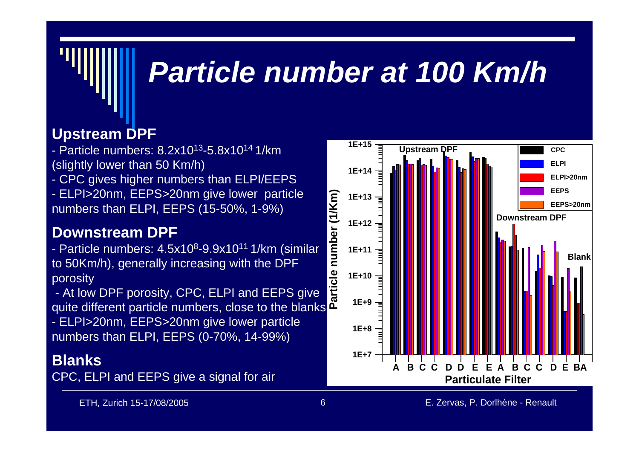## *Particle number at 100 Km/h*

### **Upstream DPF**

- Particle numbers: 8.2x1013-5.8x1014 1/km(slightly lower than 50 Km/h)
- CPC gives higher numbers than ELPI/EEPS
- ELPI>20nm, EEPS>20nm give lower particle numbers than ELPI, EEPS (15-50%, 1-9%)

### **Downstream DPF**

- Particle numbers: 4.5x10<sup>8</sup>-9.9x10<sup>11</sup> 1/km (similar to 50Km/h), generally increasing with the DPF porosity

- At low DPF porosity, CPC, ELPI and EEPS give quite different particle numbers, close to the blanks

- ELPI>20nm, EEPS>20nm give lower particle numbers than ELPI, EEPS (0-70%, 14-99%)

### **Blanks**

CPC, ELPI and EEPS give a signal for air

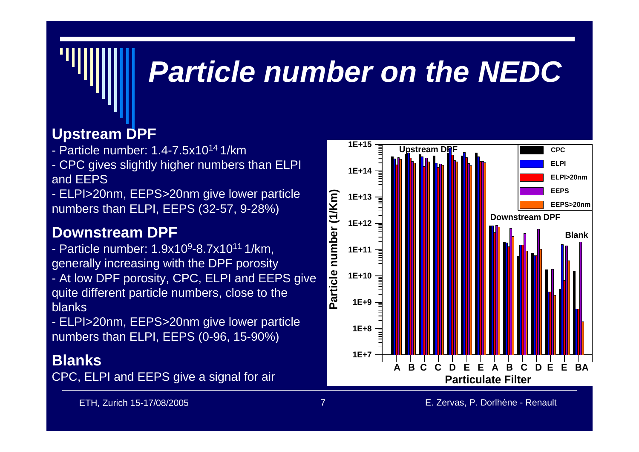## *Particle number on the NEDC*

### **Upstream DPF**

- Particle number: 1.4-7.5x1014 1/km
- CPC gives slightly higher numbers than ELPI and EEPS
- ELPI>20nm, EEPS>20nm give lower particle numbers than ELPI, EEPS (32-57, 9-28%)

### **Downstream DPF**

- Particle number: 1.9x109-8.7x1011 1/km, generally increasing with the DPF porosity - At low DPF porosity, CPC, ELPI and EEPS give quite different particle numbers, close to the blanks
- ELPI>20nm, EEPS>20nm give lower particle numbers than ELPI, EEPS (0-96, 15-90%)

### **Blanks**

CPC, ELPI and EEPS give a signal for air

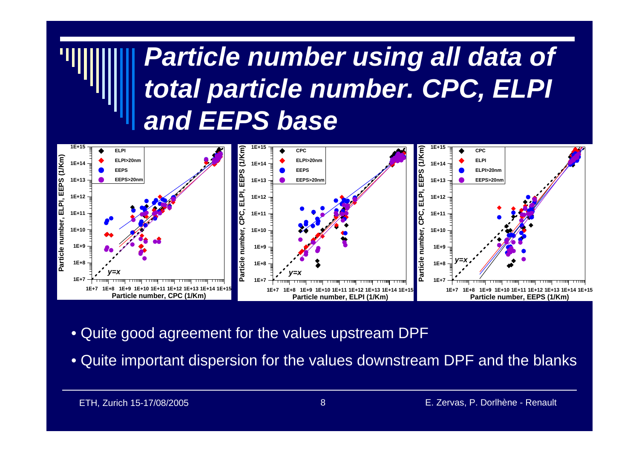### *Particle number using all data of total particle number. CPC, ELPI and EEPS base*



- Quite good agreement for the values upstream DPF
- Quite important dispersion for the values downstream DPF and the blanks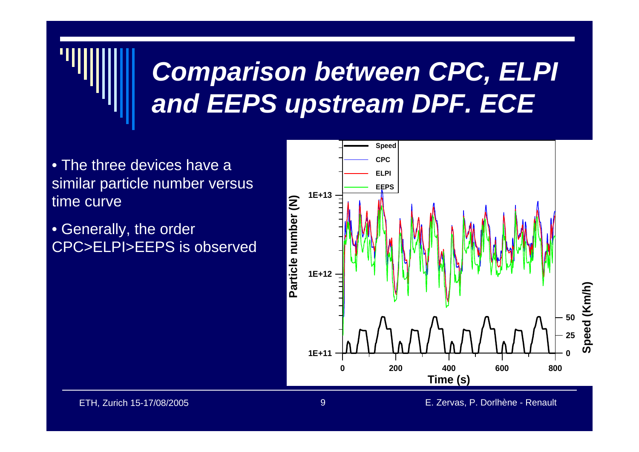## *Comparison between CPC, ELPI and EEPS upstream DPF. ECE*

- The three devices have a similar particle number versus time curve
- Generally, the order CPC>ELPI>EEPS is observed

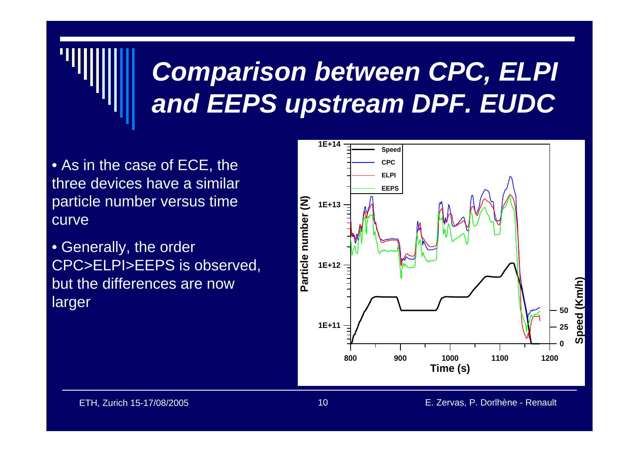## *Comparison between CPC, ELPI and EEPS upstream DPF. EUDC*

- As in the case of ECE, the three devices have a similar particle number versus time curve
- Generally, the order CPC>ELPI>EEPS is observed, but the differences are now larger

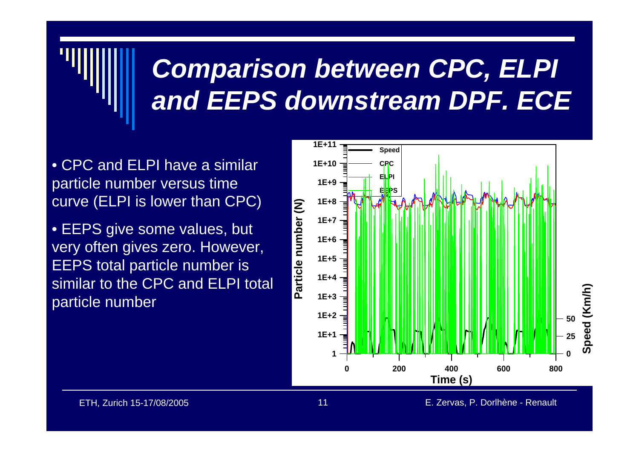## *Comparison between CPC, ELPI and EEPS downstream DPF. ECE*

- CPC and ELPI have a similar particle number versus time curve (ELPI is lower than CPC)
- EEPS give some values, but very often gives zero. However, EEPS total particle number is similar to the CPC and ELPI total particle number

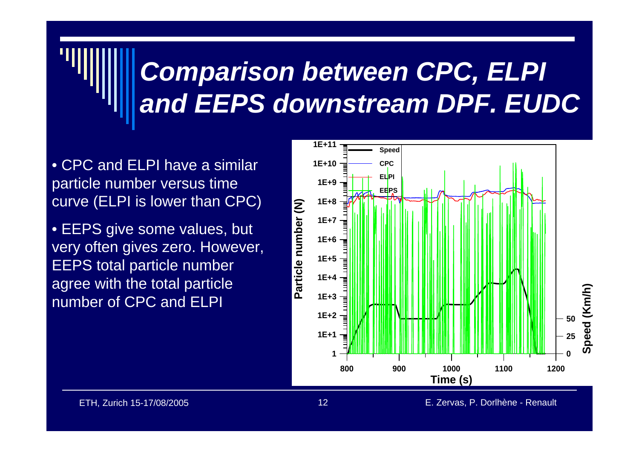## *Comparison between CPC, ELPI and EEPS downstream DPF. EUDC*

- CPC and ELPI have a similar particle number versus time curve (ELPI is lower than CPC)
- EEPS give some values, but very often gives zero. However, EEPS total particle number agree with the total particle number of CPC and ELPI

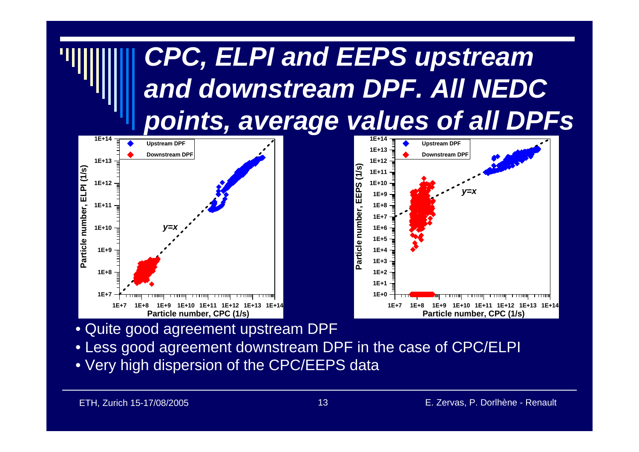

- Quite good agreement upstream DPF
- Less good agreement downstream DPF in the case of CPC/ELPI
- Very high dispersion of the CPC/EEPS data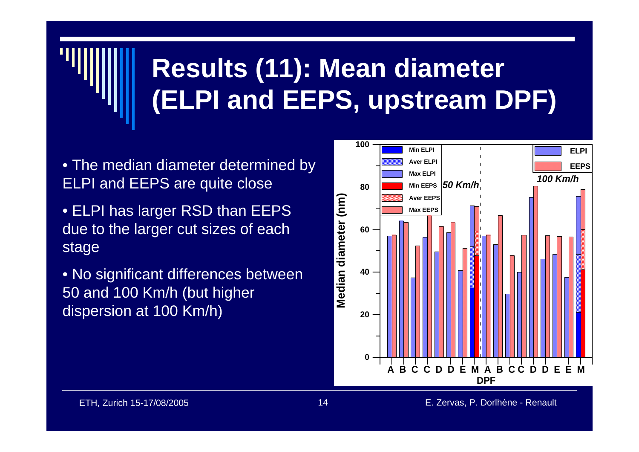## **Results (11): Mean diameter (ELPI and EEPS, upstream DPF)**

- The median diameter determined by ELPI and EEPS are quite close
- ELPI has larger RSD than EEPS due to the larger cut sizes of each stage
- No significant differences between 50 and 100 Km/h (but higher dispersion at 100 Km/h)

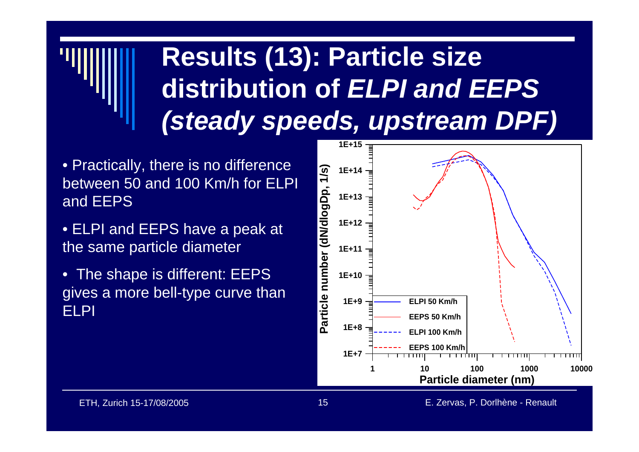## **Results (13): Particle size distribution of** *ELPI and EEPS (steady speeds, upstream DPF)*

- Practically, there is no difference between 50 and 100 Km/h for ELPI and EEPS
- ELPI and EEPS have a peak at the same particle diameter
- The shape is different: EEPS gives a more bell-type curve than ELPI

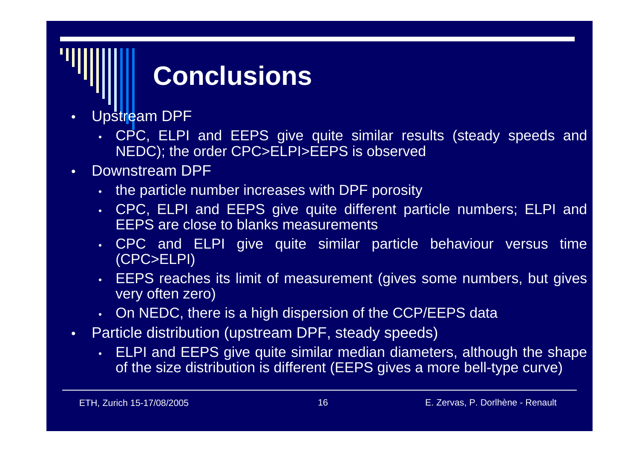## **Conclusions**

- • Upstream DPF
	- CPC, ELPI and EEPS give quite similar results (steady speeds and NEDC); the order CPC>ELPI>EEPS is observed
- • Downstream DPF
	- the particle number increases with DPF porosity
	- CPC, ELPI and EEPS give quite different particle numbers; ELPI and EEPS are close to blanks measurements
	- CPC and ELPI give quite similar particle behaviour versus time (CPC>ELPI)
	- EEPS reaches its limit of measurement (gives some numbers, but gives very often zero)
	- On NEDC, there is a high dispersion of the CCP/EEPS data
- • Particle distribution (upstream DPF, steady speeds)
	- ELPI and EEPS give quite similar median diameters, although the shape of the size distribution is different (EEPS gives a more bell-type curve)